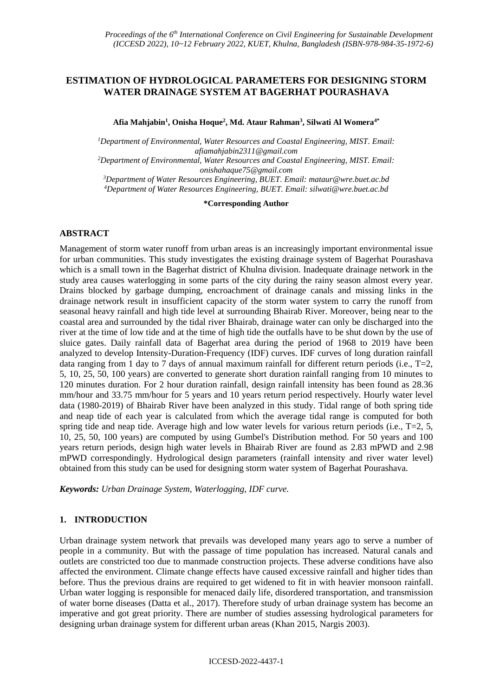# **ESTIMATION OF HYDROLOGICAL PARAMETERS FOR DESIGNING STORM WATER DRAINAGE SYSTEM AT BAGERHAT POURASHAVA**

**Afia Mahjabin<sup>1</sup> , Onisha Hoque<sup>2</sup> , Md. Ataur Rahman<sup>3</sup> , Silwati Al Womera4\***

*<sup>1</sup>Department of Environmental, Water Resources and Coastal Engineering, MIST. Email: afiamahjabin2311@gmail.com <sup>2</sup>Department of Environmental, Water Resources and Coastal Engineering, MIST. Email: onishahaque75@gmail.com*

*<sup>3</sup>Department of Water Resources Engineering, BUET. Email: mataur@wre.buet.ac.bd <sup>4</sup>Department of Water Resources Engineering, BUET. Email: silwati@wre.buet.ac.bd*

**\*Corresponding Author**

## **ABSTRACT**

Management of storm water runoff from urban areas is an increasingly important environmental issue for urban communities. This study investigates the existing drainage system of Bagerhat Pourashava which is a small town in the Bagerhat district of Khulna division. Inadequate drainage network in the study area causes waterlogging in some parts of the city during the rainy season almost every year. Drains blocked by garbage dumping, encroachment of drainage canals and missing links in the drainage network result in insufficient capacity of the storm water system to carry the runoff from seasonal heavy rainfall and high tide level at surrounding Bhairab River. Moreover, being near to the coastal area and surrounded by the tidal river Bhairab, drainage water can only be discharged into the river at the time of low tide and at the time of high tide the outfalls have to be shut down by the use of sluice gates. Daily rainfall data of Bagerhat area during the period of 1968 to 2019 have been analyzed to develop Intensity-Duration-Frequency (IDF) curves. IDF curves of long duration rainfall data ranging from 1 day to 7 days of annual maximum rainfall for different return periods (i.e.,  $T=2$ , 5, 10, 25, 50, 100 years) are converted to generate short duration rainfall ranging from 10 minutes to 120 minutes duration. For 2 hour duration rainfall, design rainfall intensity has been found as 28.36 mm/hour and 33.75 mm/hour for 5 years and 10 years return period respectively. Hourly water level data (1980-2019) of Bhairab River have been analyzed in this study. Tidal range of both spring tide and neap tide of each year is calculated from which the average tidal range is computed for both spring tide and neap tide. Average high and low water levels for various return periods (i.e.,  $T=2, 5$ , 10, 25, 50, 100 years) are computed by using Gumbel's Distribution method. For 50 years and 100 years return periods, design high water levels in Bhairab River are found as 2.83 mPWD and 2.98 mPWD correspondingly. Hydrological design parameters (rainfall intensity and river water level) obtained from this study can be used for designing storm water system of Bagerhat Pourashava.

*Keywords: Urban Drainage System, Waterlogging, IDF curve.*

## **1. INTRODUCTION**

Urban drainage system network that prevails was developed many years ago to serve a number of people in a community. But with the passage of time population has increased. Natural canals and outlets are constricted too due to manmade construction projects. These adverse conditions have also affected the environment. Climate change effects have caused excessive rainfall and higher tides than before. Thus the previous drains are required to get widened to fit in with heavier monsoon rainfall. Urban water logging is responsible for menaced daily life, disordered transportation, and transmission of water borne diseases (Datta et al., 2017). Therefore study of urban drainage system has become an imperative and got great priority. There are number of studies assessing hydrological parameters for designing urban drainage system for different urban areas (Khan 2015, Nargis 2003).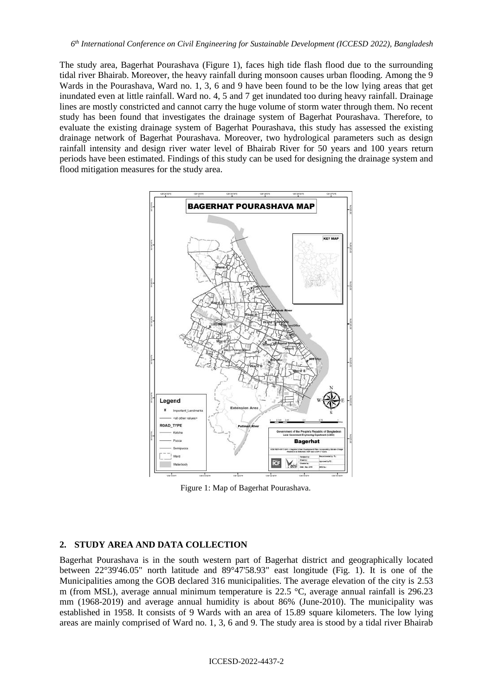The study area, Bagerhat Pourashava (Figure 1), faces high tide flash flood due to the surrounding tidal river Bhairab. Moreover, the heavy rainfall during monsoon causes urban flooding. Among the 9 Wards in the Pourashava, Ward no. 1, 3, 6 and 9 have been found to be the low lying areas that get inundated even at little rainfall. Ward no. 4, 5 and 7 get inundated too during heavy rainfall. Drainage lines are mostly constricted and cannot carry the huge volume of storm water through them. No recent study has been found that investigates the drainage system of Bagerhat Pourashava. Therefore, to evaluate the existing drainage system of Bagerhat Pourashava, this study has assessed the existing drainage network of Bagerhat Pourashava. Moreover, two hydrological parameters such as design rainfall intensity and design river water level of Bhairab River for 50 years and 100 years return periods have been estimated. Findings of this study can be used for designing the drainage system and flood mitigation measures for the study area.



Figure 1: Map of Bagerhat Pourashava.

## **2. STUDY AREA AND DATA COLLECTION**

Bagerhat Pourashava is in the south western part of Bagerhat district and geographically located between 22°39'46.05" north latitude and 89°47'58.93" east longitude (Fig. 1). It is one of the Municipalities among the GOB declared 316 municipalities. The average elevation of the city is 2.53 m (from MSL), average annual minimum temperature is 22.5 °C, average annual rainfall is 296.23 mm (1968-2019) and average annual humidity is about 86% (June-2010). The municipality was established in 1958. It consists of 9 Wards with an area of 15.89 square kilometers. The low lying areas are mainly comprised of Ward no. 1, 3, 6 and 9. The study area is stood by a tidal river Bhairab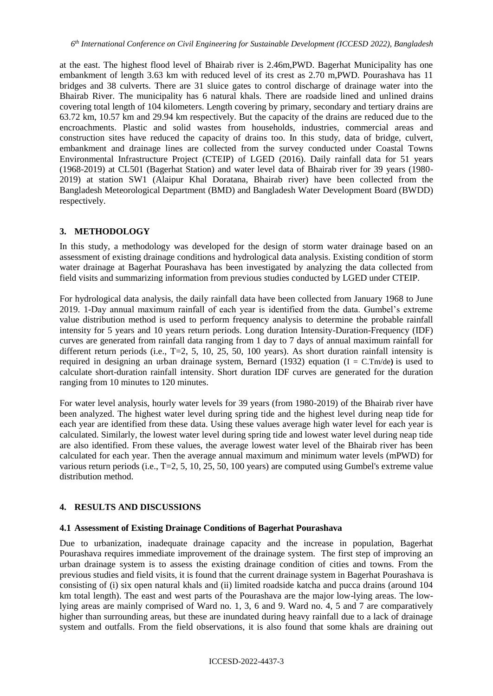at the east. The highest flood level of Bhairab river is 2.46m,PWD. Bagerhat Municipality has one embankment of length 3.63 km with reduced level of its crest as 2.70 m,PWD. Pourashava has 11 bridges and 38 culverts. There are 31 sluice gates to control discharge of drainage water into the Bhairab River. The municipality has 6 natural khals. There are roadside lined and unlined drains covering total length of 104 kilometers. Length covering by primary, secondary and tertiary drains are 63.72 km, 10.57 km and 29.94 km respectively. But the capacity of the drains are reduced due to the encroachments. Plastic and solid wastes from households, industries, commercial areas and construction sites have reduced the capacity of drains too. In this study, data of bridge, culvert, embankment and drainage lines are collected from the survey conducted under Coastal Towns Environmental Infrastructure Project (CTEIP) of LGED (2016). Daily rainfall data for 51 years (1968-2019) at CL501 (Bagerhat Station) and water level data of Bhairab river for 39 years (1980- 2019) at station SW1 (Alaipur Khal Doratana, Bhairab river) have been collected from the Bangladesh Meteorological Department (BMD) and Bangladesh Water Development Board (BWDD) respectively.

## **3. METHODOLOGY**

In this study, a methodology was developed for the design of storm water drainage based on an assessment of existing drainage conditions and hydrological data analysis. Existing condition of storm water drainage at Bagerhat Pourashava has been investigated by analyzing the data collected from field visits and summarizing information from previous studies conducted by LGED under CTEIP.

For hydrological data analysis, the daily rainfall data have been collected from January 1968 to June 2019. 1-Day annual maximum rainfall of each year is identified from the data. Gumbel's extreme value distribution method is used to perform frequency analysis to determine the probable rainfall intensity for 5 years and 10 years return periods. Long duration Intensity-Duration-Frequency (IDF) curves are generated from rainfall data ranging from 1 day to 7 days of annual maximum rainfall for different return periods (i.e., T=2, 5, 10, 25, 50, 100 years). As short duration rainfall intensity is required in designing an urban drainage system, Bernard (1932) equation (I = C.Tm/de**)** is used to calculate short-duration rainfall intensity. Short duration IDF curves are generated for the duration ranging from 10 minutes to 120 minutes.

For water level analysis, hourly water levels for 39 years (from 1980-2019) of the Bhairab river have been analyzed. The highest water level during spring tide and the highest level during neap tide for each year are identified from these data. Using these values average high water level for each year is calculated. Similarly, the lowest water level during spring tide and lowest water level during neap tide are also identified. From these values, the average lowest water level of the Bhairab river has been calculated for each year. Then the average annual maximum and minimum water levels (mPWD) for various return periods (i.e., T=2, 5, 10, 25, 50, 100 years) are computed using Gumbel's extreme value distribution method.

## **4. RESULTS AND DISCUSSIONS**

#### **4.1 Assessment of Existing Drainage Conditions of Bagerhat Pourashava**

Due to urbanization, inadequate drainage capacity and the increase in population, Bagerhat Pourashava requires immediate improvement of the drainage system. The first step of improving an urban drainage system is to assess the existing drainage condition of cities and towns. From the previous studies and field visits, it is found that the current drainage system in Bagerhat Pourashava is consisting of (i) six open natural khals and (ii) limited roadside katcha and pucca drains (around 104 km total length). The east and west parts of the Pourashava are the major low-lying areas. The lowlying areas are mainly comprised of Ward no. 1, 3, 6 and 9. Ward no. 4, 5 and 7 are comparatively higher than surrounding areas, but these are inundated during heavy rainfall due to a lack of drainage system and outfalls. From the field observations, it is also found that some khals are draining out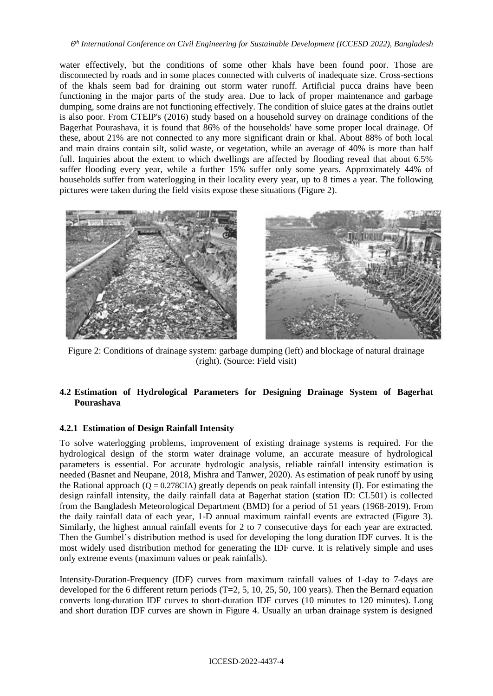water effectively, but the conditions of some other khals have been found poor. Those are disconnected by roads and in some places connected with culverts of inadequate size. Cross-sections of the khals seem bad for draining out storm water runoff. Artificial pucca drains have been functioning in the major parts of the study area. Due to lack of proper maintenance and garbage dumping, some drains are not functioning effectively. The condition of sluice gates at the drains outlet is also poor. From CTEIP's (2016) study based on a household survey on drainage conditions of the Bagerhat Pourashava, it is found that 86% of the households' have some proper local drainage. Of these, about 21% are not connected to any more significant drain or khal. About 88% of both local and main drains contain silt, solid waste, or vegetation, while an average of 40% is more than half full. Inquiries about the extent to which dwellings are affected by flooding reveal that about 6.5% suffer flooding every year, while a further 15% suffer only some years. Approximately 44% of households suffer from waterlogging in their locality every year, up to 8 times a year. The following pictures were taken during the field visits expose these situations (Figure 2).



Figure 2: Conditions of drainage system: garbage dumping (left) and blockage of natural drainage (right). (Source: Field visit)

# **4.2 Estimation of Hydrological Parameters for Designing Drainage System of Bagerhat Pourashava**

## **4.2.1 Estimation of Design Rainfall Intensity**

To solve waterlogging problems, improvement of existing drainage systems is required. For the hydrological design of the storm water drainage volume, an accurate measure of hydrological parameters is essential. For accurate hydrologic analysis, reliable rainfall intensity estimation is needed (Basnet and Neupane, 2018, Mishra and Tanwer, 2020). As estimation of peak runoff by using the Rational approach ( $Q = 0.278CIA$ ) greatly depends on peak rainfall intensity (I). For estimating the design rainfall intensity, the daily rainfall data at Bagerhat station (station ID: CL501) is collected from the Bangladesh Meteorological Department (BMD) for a period of 51 years (1968-2019). From the daily rainfall data of each year, 1-D annual maximum rainfall events are extracted (Figure 3). Similarly, the highest annual rainfall events for 2 to 7 consecutive days for each year are extracted. Then the Gumbel's distribution method is used for developing the long duration IDF curves. It is the most widely used distribution method for generating the IDF curve. It is relatively simple and uses only extreme events (maximum values or peak rainfalls).

Intensity-Duration-Frequency (IDF) curves from maximum rainfall values of 1-day to 7-days are developed for the 6 different return periods (T=2, 5, 10, 25, 50, 100 years). Then the Bernard equation converts long-duration IDF curves to short-duration IDF curves (10 minutes to 120 minutes). Long and short duration IDF curves are shown in Figure 4. Usually an urban drainage system is designed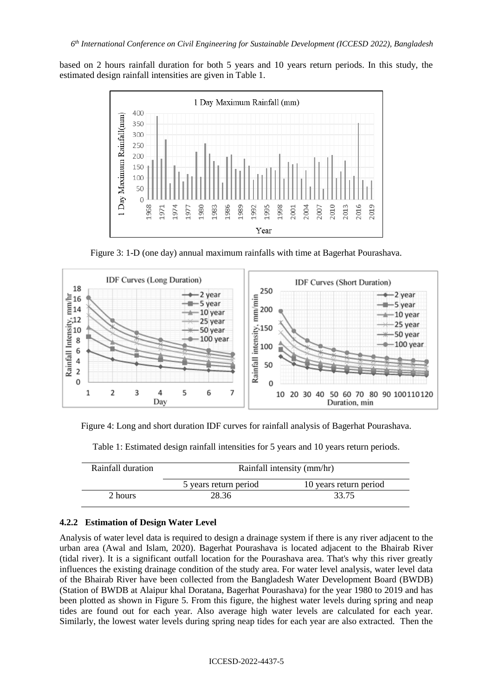based on 2 hours rainfall duration for both 5 years and 10 years return periods. In this study, the estimated design rainfall intensities are given in Table 1.



Figure 3: 1-D (one day) annual maximum rainfalls with time at Bagerhat Pourashava.



Figure 4: Long and short duration IDF curves for rainfall analysis of Bagerhat Pourashava.

| Rainfall duration | Rainfall intensity (mm/hr) |                        |  |
|-------------------|----------------------------|------------------------|--|
|                   | 5 years return period      | 10 years return period |  |
| 2 hours           | 28.36                      | 33.75                  |  |

Table 1: Estimated design rainfall intensities for 5 years and 10 years return periods.

## **4.2.2 Estimation of Design Water Level**

Analysis of water level data is required to design a drainage system if there is any river adjacent to the urban area (Awal and Islam, 2020). Bagerhat Pourashava is located adjacent to the Bhairab River (tidal river). It is a significant outfall location for the Pourashava area. That's why this river greatly influences the existing drainage condition of the study area. For water level analysis, water level data of the Bhairab River have been collected from the Bangladesh Water Development Board (BWDB) (Station of BWDB at Alaipur khal Doratana, Bagerhat Pourashava) for the year 1980 to 2019 and has been plotted as shown in Figure 5. From this figure, the highest water levels during spring and neap tides are found out for each year. Also average high water levels are calculated for each year. Similarly, the lowest water levels during spring neap tides for each year are also extracted. Then the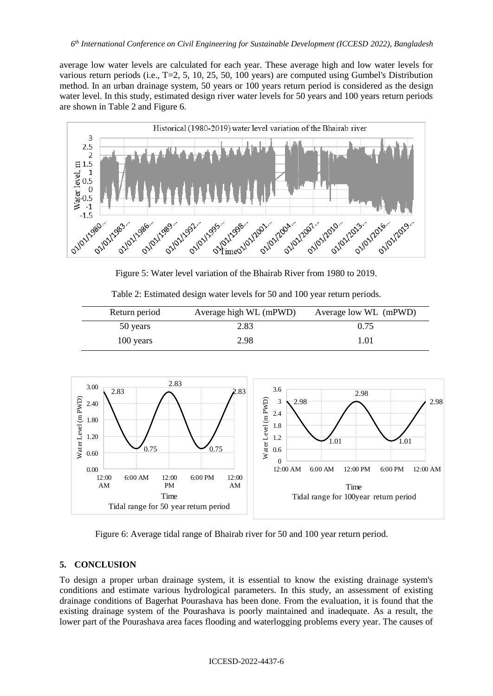average low water levels are calculated for each year. These average high and low water levels for various return periods (i.e., T=2, 5, 10, 25, 50, 100 years) are computed using Gumbel's Distribution method. In an urban drainage system, 50 years or 100 years return period is considered as the design water level. In this study, estimated design river water levels for 50 years and 100 years return periods are shown in Table 2 and Figure 6.



Figure 5: Water level variation of the Bhairab River from 1980 to 2019.

Table 2: Estimated design water levels for 50 and 100 year return periods.

| Return period | Average high WL (mPWD) | Average low WL (mPWD) |
|---------------|------------------------|-----------------------|
| 50 years      | 2.83                   | 0.75                  |
| 100 years     | 2.98                   | 1.01                  |



Figure 6: Average tidal range of Bhairab river for 50 and 100 year return period.

## **5. CONCLUSION**

To design a proper urban drainage system, it is essential to know the existing drainage system's conditions and estimate various hydrological parameters. In this study, an assessment of existing drainage conditions of Bagerhat Pourashava has been done. From the evaluation, it is found that the existing drainage system of the Pourashava is poorly maintained and inadequate. As a result, the lower part of the Pourashava area faces flooding and waterlogging problems every year. The causes of